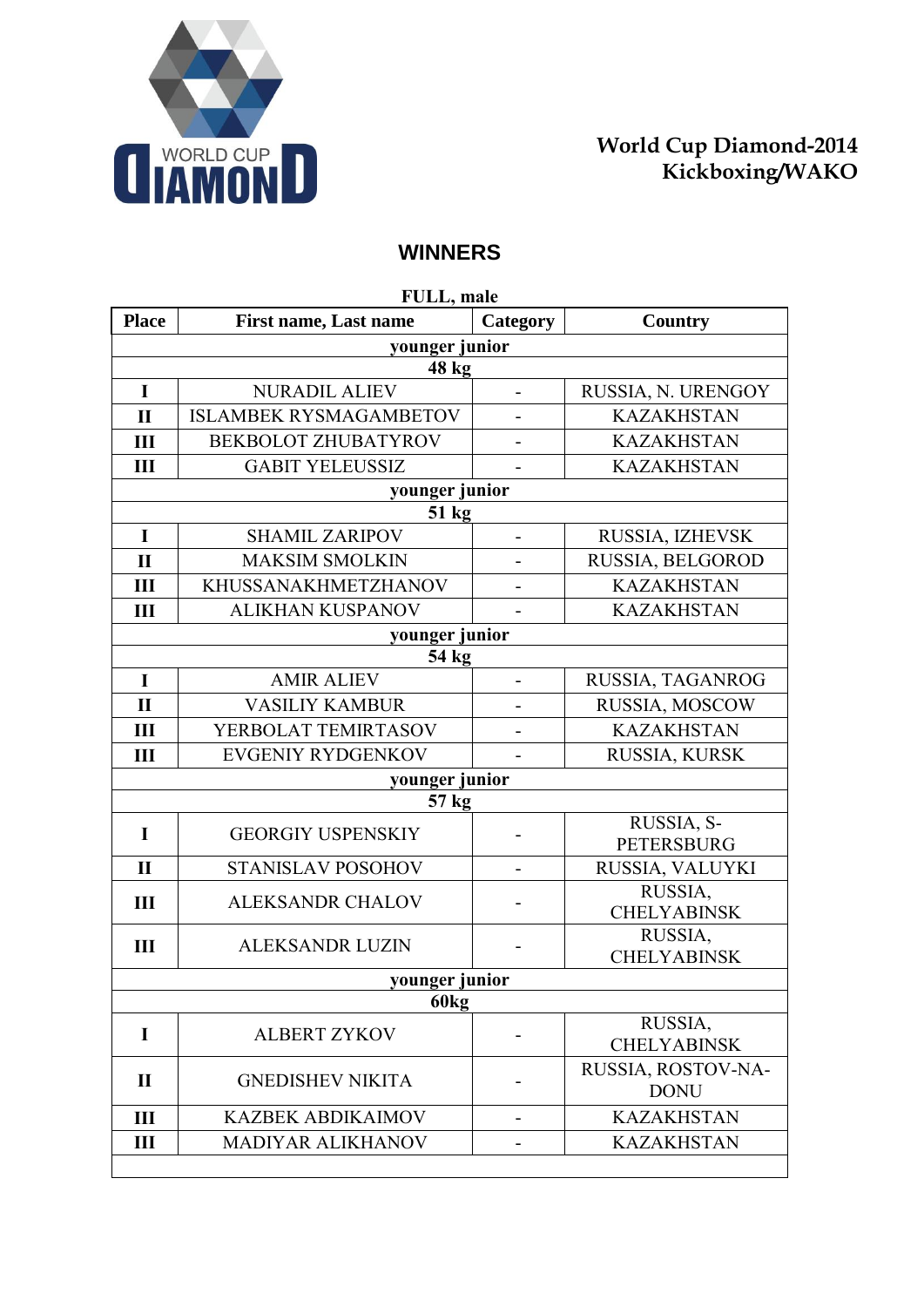

## **WINNERS**

| FULL, male       |                               |                          |                               |
|------------------|-------------------------------|--------------------------|-------------------------------|
| <b>Place</b>     | <b>First name, Last name</b>  | Category                 | Country                       |
|                  | younger junior                |                          |                               |
|                  | 48 kg                         |                          |                               |
| $\mathbf I$      | <b>NURADIL ALIEV</b>          | $\overline{a}$           | RUSSIA, N. URENGOY            |
| $\mathbf{I}$     | <b>ISLAMBEK RYSMAGAMBETOV</b> | $\overline{\phantom{0}}$ | <b>KAZAKHSTAN</b>             |
| III              | BEKBOLOT ZHUBATYROV           |                          | <b>KAZAKHSTAN</b>             |
| III              | <b>GABIT YELEUSSIZ</b>        |                          | <b>KAZAKHSTAN</b>             |
|                  | younger junior                |                          |                               |
|                  | 51 kg                         |                          |                               |
| I                | <b>SHAMIL ZARIPOV</b>         | -                        | RUSSIA, IZHEVSK               |
| $\mathbf{I}$     | <b>MAKSIM SMOLKIN</b>         |                          | RUSSIA, BELGOROD              |
| Ш                | KHUSSANAKHMETZHANOV           | $\overline{\phantom{0}}$ | <b>KAZAKHSTAN</b>             |
| Ш                | <b>ALIKHAN KUSPANOV</b>       |                          | <b>KAZAKHSTAN</b>             |
|                  | younger junior                |                          |                               |
|                  | 54 kg                         |                          |                               |
| I                | <b>AMIR ALIEV</b>             | $\overline{\phantom{0}}$ | RUSSIA, TAGANROG              |
| $\mathbf{I}$     | <b>VASILIY KAMBUR</b>         |                          | RUSSIA, MOSCOW                |
| Ш                | YERBOLAT TEMIRTASOV           |                          | <b>KAZAKHSTAN</b>             |
| III              | <b>EVGENIY RYDGENKOV</b>      |                          | RUSSIA, KURSK                 |
|                  | younger junior                |                          |                               |
|                  | 57 kg                         |                          |                               |
| I                | <b>GEORGIY USPENSKIY</b>      |                          | RUSSIA, S-                    |
|                  |                               |                          | <b>PETERSBURG</b>             |
| $\mathbf{I}$     | STANISLAV POSOHOV             |                          | RUSSIA, VALUYKI               |
| Ш                | <b>ALEKSANDR CHALOV</b>       |                          | RUSSIA,                       |
|                  |                               |                          | <b>CHELYABINSK</b><br>RUSSIA, |
| III              | <b>ALEKSANDR LUZIN</b>        |                          | <b>CHELYABINSK</b>            |
| younger junior   |                               |                          |                               |
| 60 <sub>kg</sub> |                               |                          |                               |
| I                | <b>ALBERT ZYKOV</b>           |                          | RUSSIA,                       |
|                  |                               |                          | <b>CHELYABINSK</b>            |
| $\mathbf{I}$     | <b>GNEDISHEV NIKITA</b>       |                          | RUSSIA, ROSTOV-NA-            |
|                  |                               |                          | <b>DONU</b>                   |
| III              | <b>KAZBEK ABDIKAIMOV</b>      |                          | <b>KAZAKHSTAN</b>             |
| Ш                | MADIYAR ALIKHANOV             |                          | <b>KAZAKHSTAN</b>             |
|                  |                               |                          |                               |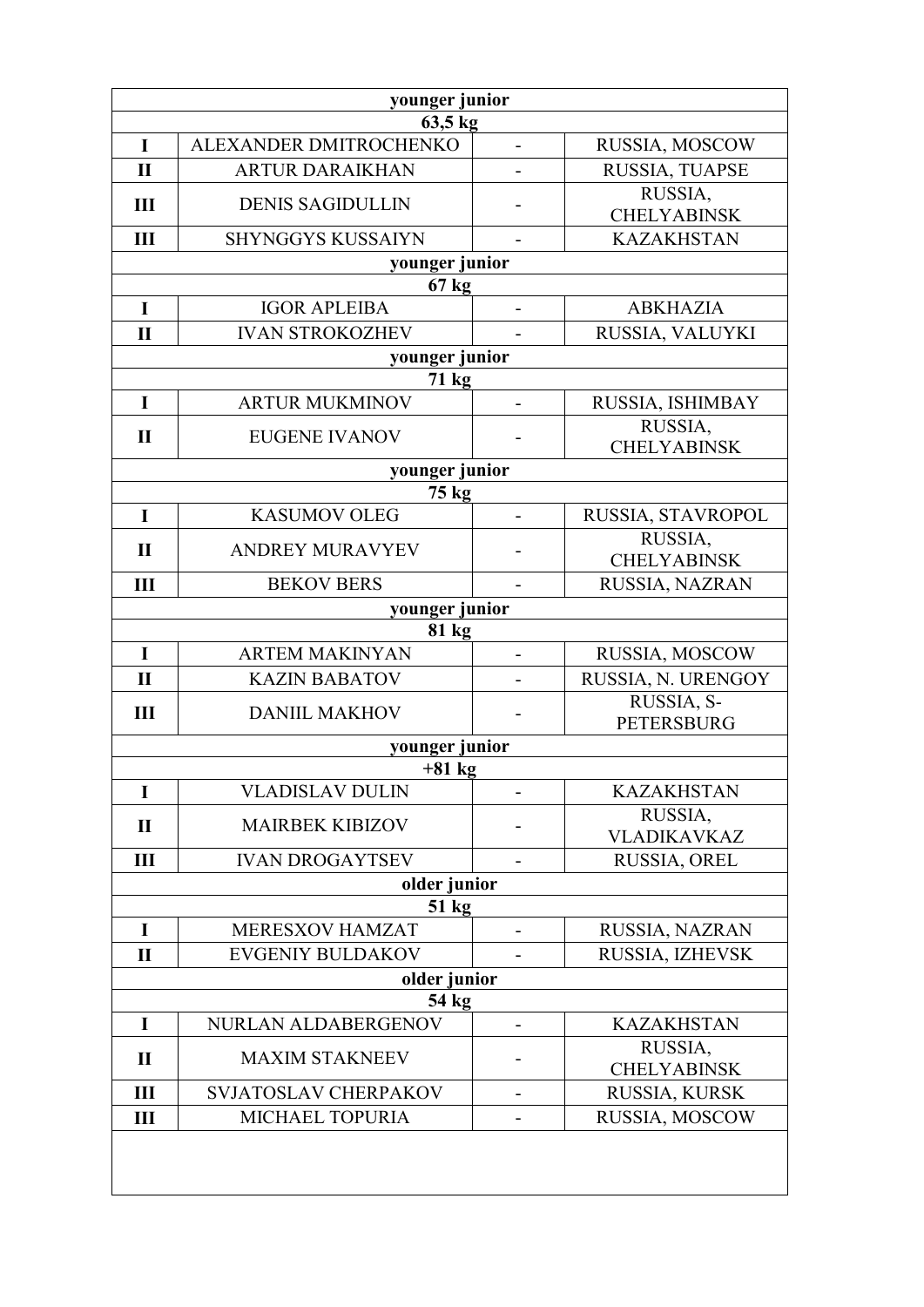| younger junior |                          |                |                               |  |
|----------------|--------------------------|----------------|-------------------------------|--|
| 63,5 kg        |                          |                |                               |  |
| I              | ALEXANDER DMITROCHENKO   |                | RUSSIA, MOSCOW                |  |
| $\mathbf{I}$   | <b>ARTUR DARAIKHAN</b>   |                | RUSSIA, TUAPSE<br>RUSSIA,     |  |
| III            | <b>DENIS SAGIDULLIN</b>  |                | <b>CHELYABINSK</b>            |  |
| III            | <b>SHYNGGYS KUSSAIYN</b> |                | <b>KAZAKHSTAN</b>             |  |
|                | younger junior           |                |                               |  |
|                | $67 \text{ kg}$          |                |                               |  |
| $\mathbf I$    | <b>IGOR APLEIBA</b>      |                | <b>ABKHAZIA</b>               |  |
| $\mathbf{I}$   | <b>IVAN STROKOZHEV</b>   |                | RUSSIA, VALUYKI               |  |
|                | younger junior           |                |                               |  |
|                | $71 \text{ kg}$          |                |                               |  |
| $\bf{I}$       | <b>ARTUR MUKMINOV</b>    |                | RUSSIA, ISHIMBAY              |  |
| $\mathbf{I}$   | <b>EUGENE IVANOV</b>     |                | RUSSIA,<br><b>CHELYABINSK</b> |  |
|                | younger junior           |                |                               |  |
|                | 75 kg                    |                |                               |  |
| I              | <b>KASUMOV OLEG</b>      | $\blacksquare$ | RUSSIA, STAVROPOL             |  |
| $\mathbf{I}$   | <b>ANDREY MURAVYEV</b>   |                | RUSSIA,<br><b>CHELYABINSK</b> |  |
| III            | <b>BEKOV BERS</b>        |                | RUSSIA, NAZRAN                |  |
|                | younger junior           |                |                               |  |
|                | $81 \text{ kg}$          |                |                               |  |
| $\mathbf I$    | <b>ARTEM MAKINYAN</b>    |                | RUSSIA, MOSCOW                |  |
| $\mathbf{I}$   | <b>KAZIN BABATOV</b>     |                | RUSSIA, N. URENGOY            |  |
| III            | <b>DANIIL MAKHOV</b>     |                | RUSSIA, S-                    |  |
|                |                          |                | <b>PETERSBURG</b>             |  |
|                | younger junior           |                |                               |  |
|                | $+81$ kg                 |                |                               |  |
| I              | <b>VLADISLAV DULIN</b>   |                | <b>KAZAKHSTAN</b>             |  |
| $\mathbf{I}$   | <b>MAIRBEK KIBIZOV</b>   |                | RUSSIA,<br>VLADIKAVKAZ        |  |
| Ш              | <b>IVAN DROGAYTSEV</b>   |                | RUSSIA, OREL                  |  |
|                | older junior             |                |                               |  |
| 51 kg          |                          |                |                               |  |
| I              | MERESXOV HAMZAT          |                | RUSSIA, NAZRAN                |  |
| $\mathbf{I}$   | <b>EVGENIY BULDAKOV</b>  |                | RUSSIA, IZHEVSK               |  |
| older junior   |                          |                |                               |  |
| 54 kg          |                          |                |                               |  |
| I              | NURLAN ALDABERGENOV      |                | <b>KAZAKHSTAN</b>             |  |
| $\mathbf{I}$   | <b>MAXIM STAKNEEV</b>    |                | RUSSIA,<br><b>CHELYABINSK</b> |  |
| III            | SVJATOSLAV CHERPAKOV     |                | RUSSIA, KURSK                 |  |
| $\mathbf{III}$ | MICHAEL TOPURIA          |                | RUSSIA, MOSCOW                |  |
|                |                          |                |                               |  |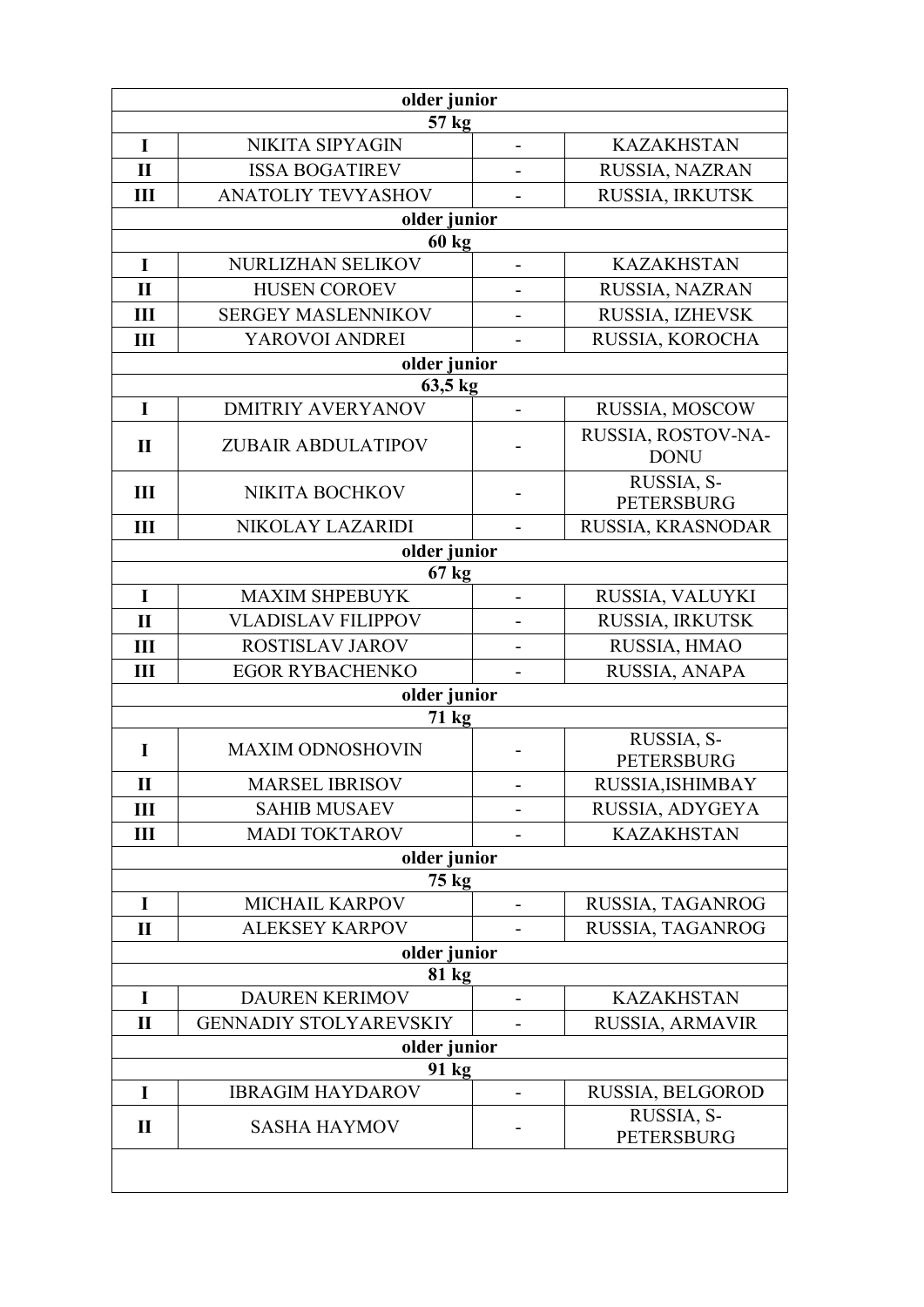| older junior |                                  |                              |                                   |
|--------------|----------------------------------|------------------------------|-----------------------------------|
|              | 57 kg                            |                              |                                   |
| I            | NIKITA SIPYAGIN                  | $\qquad \qquad \blacksquare$ | <b>KAZAKHSTAN</b>                 |
| $\mathbf{I}$ | <b>ISSA BOGATIREV</b>            |                              | RUSSIA, NAZRAN                    |
| Ш            | <b>ANATOLIY TEVYASHOV</b>        |                              | RUSSIA, IRKUTSK                   |
|              | older junior<br>60 <sub>kg</sub> |                              |                                   |
| I            | NURLIZHAN SELIKOV                |                              | <b>KAZAKHSTAN</b>                 |
| $\mathbf{I}$ | <b>HUSEN COROEV</b>              |                              | RUSSIA, NAZRAN                    |
| III          | <b>SERGEY MASLENNIKOV</b>        |                              | RUSSIA, IZHEVSK                   |
| Ш            | YAROVOI ANDREI                   |                              | RUSSIA, KOROCHA                   |
|              | older junior                     |                              |                                   |
|              | 63,5 kg                          |                              |                                   |
| I            | <b>DMITRIY AVERYANOV</b>         |                              | RUSSIA, MOSCOW                    |
| $\mathbf{I}$ | <b>ZUBAIR ABDULATIPOV</b>        |                              | RUSSIA, ROSTOV-NA-<br><b>DONU</b> |
| III          | NIKITA BOCHKOV                   |                              | RUSSIA, S-<br><b>PETERSBURG</b>   |
| III          | NIKOLAY LAZARIDI                 |                              | RUSSIA, KRASNODAR                 |
|              | older junior                     |                              |                                   |
|              | 67 kg                            |                              |                                   |
| $\mathbf I$  | <b>MAXIM SHPEBUYK</b>            | $\blacksquare$               | RUSSIA, VALUYKI                   |
| $\mathbf{I}$ | <b>VLADISLAV FILIPPOV</b>        |                              | RUSSIA, IRKUTSK                   |
| III          | ROSTISLAV JAROV                  |                              | RUSSIA, HMAO                      |
| Ш            | <b>EGOR RYBACHENKO</b>           |                              | RUSSIA, ANAPA                     |
|              | older junior                     |                              |                                   |
|              | 71 kg                            |                              | RUSSIA, S-                        |
| I            | <b>MAXIM ODNOSHOVIN</b>          |                              | <b>PETERSBURG</b>                 |
| $\mathbf{I}$ | <b>MARSEL IBRISOV</b>            |                              | RUSSIA, ISHIMBAY                  |
| Ш            | <b>SAHIB MUSAEV</b>              |                              | RUSSIA, ADYGEYA                   |
| Ш            | <b>MADI TOKTAROV</b>             |                              | <b>KAZAKHSTAN</b>                 |
|              | older junior                     |                              |                                   |
|              | 75 kg                            |                              |                                   |
| I            | <b>MICHAIL KARPOV</b>            | $\overline{\phantom{0}}$     | RUSSIA, TAGANROG                  |
| $\mathbf{I}$ | <b>ALEKSEY KARPOV</b>            |                              | RUSSIA, TAGANROG                  |
| older junior |                                  |                              |                                   |
| I            | 81 kg<br><b>DAUREN KERIMOV</b>   |                              | <b>KAZAKHSTAN</b>                 |
| $\mathbf{I}$ | <b>GENNADIY STOLYAREVSKIY</b>    |                              | RUSSIA, ARMAVIR                   |
|              | older junior                     |                              |                                   |
| 91 kg        |                                  |                              |                                   |
| I            | <b>IBRAGIM HAYDAROV</b>          |                              | RUSSIA, BELGOROD                  |
| $\mathbf{I}$ | <b>SASHA HAYMOV</b>              |                              | RUSSIA, S-<br><b>PETERSBURG</b>   |
|              |                                  |                              |                                   |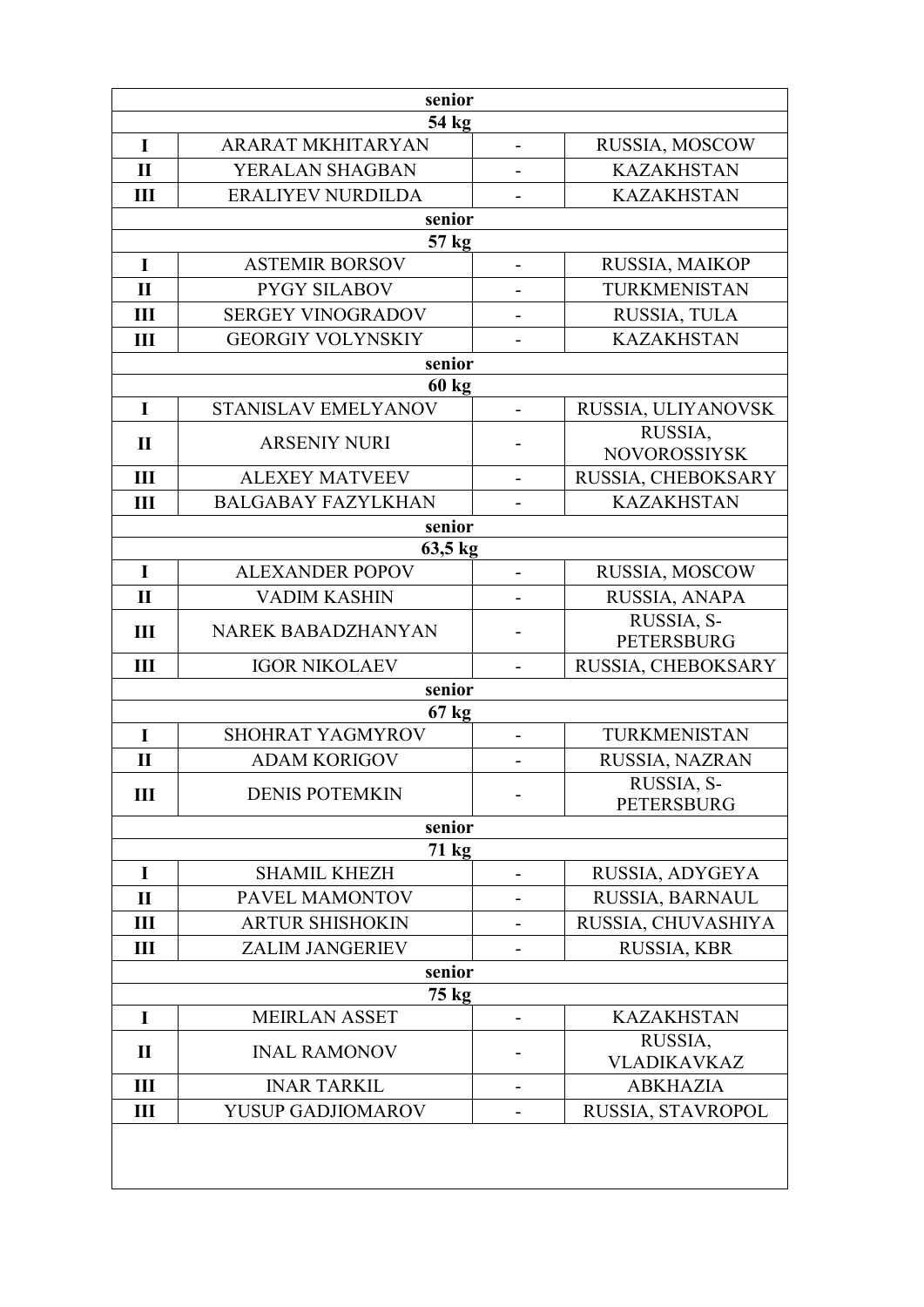| senior         |                                     |                              |                                 |  |
|----------------|-------------------------------------|------------------------------|---------------------------------|--|
| 54 kg          |                                     |                              |                                 |  |
| I              | <b>ARARAT MKHITARYAN</b>            | $\overline{\phantom{0}}$     | RUSSIA, MOSCOW                  |  |
| $\mathbf{I}$   | YERALAN SHAGBAN                     |                              | <b>KAZAKHSTAN</b>               |  |
| III            | <b>ERALIYEV NURDILDA</b>            | $\blacksquare$               | <b>KAZAKHSTAN</b>               |  |
|                | senior                              |                              |                                 |  |
| I              | 57 kg<br><b>ASTEMIR BORSOV</b>      |                              | RUSSIA, MAIKOP                  |  |
| $\mathbf{I}$   | <b>PYGY SILABOV</b>                 |                              | TURKMENISTAN                    |  |
| Ш              | <b>SERGEY VINOGRADOV</b>            | $\qquad \qquad \blacksquare$ | RUSSIA, TULA                    |  |
| Ш              | <b>GEORGIY VOLYNSKIY</b>            |                              | <b>KAZAKHSTAN</b>               |  |
|                | $\overline{\text{senior}}$          |                              |                                 |  |
|                | $60 \text{ kg}$                     |                              |                                 |  |
| $\mathbf I$    | STANISLAV EMELYANOV                 | $\blacksquare$               | RUSSIA, ULIYANOVSK              |  |
| $\mathbf{I}$   | <b>ARSENIY NURI</b>                 |                              | RUSSIA.                         |  |
|                |                                     |                              | <b>NOVOROSSIYSK</b>             |  |
| $\mathbf{III}$ | <b>ALEXEY MATVEEV</b>               | $\blacksquare$               | RUSSIA, CHEBOKSARY              |  |
| III            | <b>BALGABAY FAZYLKHAN</b><br>senior |                              | <b>KAZAKHSTAN</b>               |  |
|                | 63,5 kg                             |                              |                                 |  |
| I              | <b>ALEXANDER POPOV</b>              | $\overline{\phantom{0}}$     | RUSSIA, MOSCOW                  |  |
| $\mathbf{I}$   | <b>VADIM KASHIN</b>                 |                              | RUSSIA, ANAPA                   |  |
|                |                                     |                              | RUSSIA, S-                      |  |
| III            | NAREK BABADZHANYAN                  | $\overline{\phantom{0}}$     | <b>PETERSBURG</b>               |  |
| Ш              | <b>IGOR NIKOLAEV</b>                |                              | RUSSIA, CHEBOKSARY              |  |
|                | senior                              |                              |                                 |  |
|                | $67$ kg                             |                              |                                 |  |
| $\mathbf I$    | SHOHRAT YAGMYROV                    | $\blacksquare$               | TURKMENISTAN                    |  |
| $\mathbf{I}$   | <b>ADAM KORIGOV</b>                 |                              | RUSSIA, NAZRAN                  |  |
| Ш              | <b>DENIS POTEMKIN</b>               |                              | RUSSIA, S-<br><b>PETERSBURG</b> |  |
|                | senior                              |                              |                                 |  |
|                | 71 kg                               |                              |                                 |  |
| $\mathbf I$    | <b>SHAMIL KHEZH</b>                 |                              | RUSSIA, ADYGEYA                 |  |
| $\mathbf{I}$   | PAVEL MAMONTOV                      |                              | RUSSIA, BARNAUL                 |  |
| III            | <b>ARTUR SHISHOKIN</b>              |                              | RUSSIA, CHUVASHIYA              |  |
| Ш              | <b>ZALIM JANGERIEV</b>              |                              | RUSSIA, KBR                     |  |
| senior         |                                     |                              |                                 |  |
| I              | 75 kg<br><b>MEIRLAN ASSET</b>       |                              | <b>KAZAKHSTAN</b>               |  |
|                |                                     |                              | RUSSIA,                         |  |
| $\mathbf{I}$   | <b>INAL RAMONOV</b>                 |                              | VLADIKAVKAZ                     |  |
| III            | <b>INAR TARKIL</b>                  | $\overline{\phantom{0}}$     | <b>ABKHAZIA</b>                 |  |
| Ш              | <b>YUSUP GADJIOMAROV</b>            |                              | RUSSIA, STAVROPOL               |  |
|                |                                     |                              |                                 |  |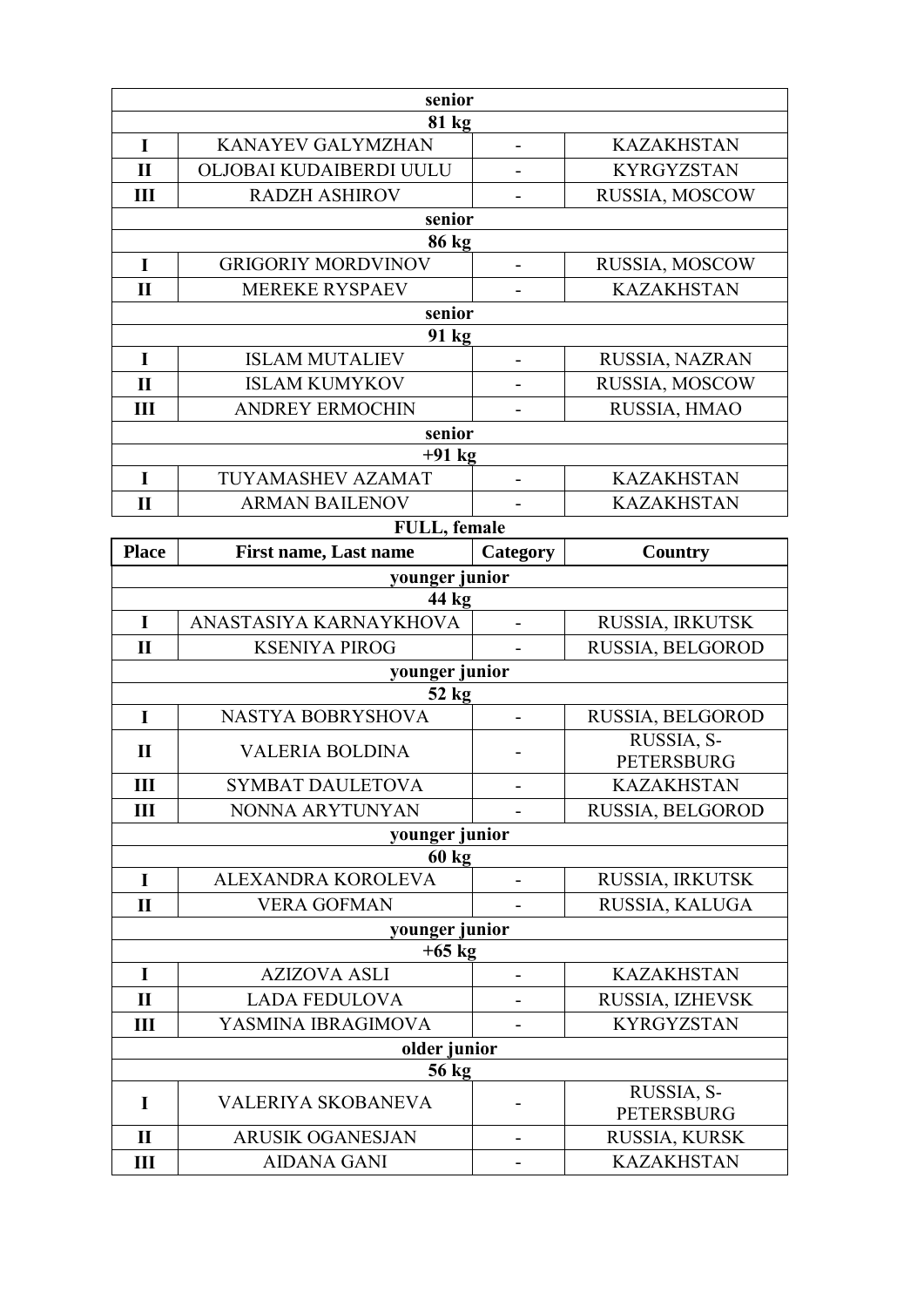|                   | senior                                        |                          |                                    |
|-------------------|-----------------------------------------------|--------------------------|------------------------------------|
| 81 kg             |                                               |                          |                                    |
| $\mathbf I$       | <b>KANAYEV GALYMZHAN</b>                      | $\overline{\phantom{0}}$ | <b>KAZAKHSTAN</b>                  |
| $\mathbf{I}$      | OLJOBAI KUDAIBERDI UULU                       |                          | <b>KYRGYZSTAN</b>                  |
| Ш                 | <b>RADZH ASHIROV</b>                          |                          | RUSSIA, MOSCOW                     |
|                   | senior                                        |                          |                                    |
|                   | 86 kg                                         |                          |                                    |
| I                 | <b>GRIGORIY MORDVINOV</b>                     |                          | RUSSIA, MOSCOW                     |
| $\mathbf{I}$      | <b>MEREKE RYSPAEV</b>                         |                          | <b>KAZAKHSTAN</b>                  |
|                   | senior                                        |                          |                                    |
|                   | 91 kg                                         |                          |                                    |
| $\mathbf I$       | <b>ISLAM MUTALIEV</b>                         |                          | RUSSIA, NAZRAN                     |
| $\mathbf{I}$      | <b>ISLAM KUMYKOV</b>                          |                          | RUSSIA, MOSCOW                     |
| Ш                 | <b>ANDREY ERMOCHIN</b>                        |                          | RUSSIA, HMAO                       |
|                   | senior                                        |                          |                                    |
|                   | $+91$ kg                                      |                          |                                    |
| $\mathbf I$       | TUYAMASHEV AZAMAT                             |                          | <b>KAZAKHSTAN</b>                  |
| $\mathbf{I}$      | <b>ARMAN BAILENOV</b>                         |                          | <b>KAZAKHSTAN</b>                  |
|                   | FULL, female                                  |                          |                                    |
| <b>Place</b>      | <b>First name, Last name</b>                  | Category                 | <b>Country</b>                     |
|                   | younger junior                                |                          |                                    |
|                   | 44 kg                                         |                          |                                    |
| $\mathbf I$       | ANASTASIYA KARNAYKHOVA                        |                          | RUSSIA, IRKUTSK                    |
|                   |                                               |                          |                                    |
| $\mathbf{I}$      | <b>KSENIYA PIROG</b>                          |                          | RUSSIA, BELGOROD                   |
|                   | younger junior                                |                          |                                    |
|                   | $52$ kg                                       |                          |                                    |
| $\mathbf I$       | <b>NASTYA BOBRYSHOVA</b>                      | $\overline{a}$           | RUSSIA, BELGOROD                   |
| $\mathbf{I}$      | <b>VALERIA BOLDINA</b>                        | $\overline{a}$           | RUSSIA, S-                         |
|                   |                                               |                          | <b>PETERSBURG</b>                  |
| III               | <b>SYMBAT DAULETOVA</b>                       |                          | <b>KAZAKHSTAN</b>                  |
| Ш                 | NONNA ARYTUNYAN                               |                          | RUSSIA, BELGOROD                   |
|                   | younger junior                                |                          |                                    |
| $\mathbf I$       | $60 \text{ kg}$<br>ALEXANDRA KOROLEVA         | $\overline{a}$           | RUSSIA, IRKUTSK                    |
| $\mathbf{I}$      | <b>VERA GOFMAN</b>                            |                          | RUSSIA, KALUGA                     |
|                   |                                               |                          |                                    |
|                   | younger junior<br>$+65$ kg                    |                          |                                    |
| I                 | <b>AZIZOVA ASLI</b>                           |                          | <b>KAZAKHSTAN</b>                  |
| $\mathbf{I}$      | <b>LADA FEDULOVA</b>                          |                          | RUSSIA, IZHEVSK                    |
| Ш                 | YASMINA IBRAGIMOVA                            |                          | <b>KYRGYZSTAN</b>                  |
|                   | older junior                                  |                          |                                    |
|                   | 56 kg                                         |                          |                                    |
| I                 | VALERIYA SKOBANEVA                            |                          | RUSSIA, S-                         |
|                   |                                               |                          | PETERSBURG                         |
| $\mathbf{I}$<br>Ш | <b>ARUSIK OGANESJAN</b><br><b>AIDANA GANI</b> | $\overline{a}$           | RUSSIA, KURSK<br><b>KAZAKHSTAN</b> |